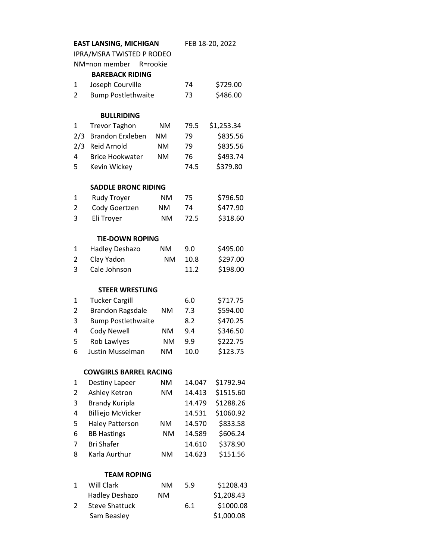|                               | <b>EAST LANSING, MICHIGAN</b> | FEB 18-20, 2022 |        |            |  |  |  |  |
|-------------------------------|-------------------------------|-----------------|--------|------------|--|--|--|--|
| IPRA/MSRA TWISTED P RODEO     |                               |                 |        |            |  |  |  |  |
|                               | NM=non member                 | R=rookie        |        |            |  |  |  |  |
|                               | <b>BAREBACK RIDING</b>        |                 |        |            |  |  |  |  |
| $\mathbf{1}$                  | Joseph Courville              |                 | 74     | \$729.00   |  |  |  |  |
| 2                             | <b>Bump Postlethwaite</b>     |                 | 73     | \$486.00   |  |  |  |  |
|                               |                               |                 |        |            |  |  |  |  |
|                               | <b>BULLRIDING</b>             |                 |        |            |  |  |  |  |
| 1                             | <b>Trevor Taghon</b>          | <b>NM</b>       | 79.5   | \$1,253.34 |  |  |  |  |
| 2/3                           | <b>Brandon Erxleben</b>       | <b>NM</b>       | 79     | \$835.56   |  |  |  |  |
| 2/3                           | <b>Reid Arnold</b>            | <b>NM</b>       | 79     | \$835.56   |  |  |  |  |
| 4                             | <b>Brice Hookwater</b>        | <b>NM</b>       | 76     | \$493.74   |  |  |  |  |
| 5                             | Kevin Wickey                  |                 | 74.5   | \$379.80   |  |  |  |  |
| <b>SADDLE BRONC RIDING</b>    |                               |                 |        |            |  |  |  |  |
| 1                             | <b>Rudy Troyer</b>            | <b>NM</b>       | 75     | \$796.50   |  |  |  |  |
| $\overline{2}$                | Cody Goertzen                 | <b>NM</b>       | 74     | \$477.90   |  |  |  |  |
| 3                             | Eli Troyer                    | <b>NM</b>       | 72.5   | \$318.60   |  |  |  |  |
|                               |                               |                 |        |            |  |  |  |  |
|                               | <b>TIE-DOWN ROPING</b>        |                 |        |            |  |  |  |  |
| 1                             | Hadley Deshazo                | <b>NM</b>       | 9.0    | \$495.00   |  |  |  |  |
| 2                             | Clay Yadon                    | <b>NM</b>       | 10.8   | \$297.00   |  |  |  |  |
| 3                             | Cale Johnson                  |                 | 11.2   | \$198.00   |  |  |  |  |
| <b>STEER WRESTLING</b>        |                               |                 |        |            |  |  |  |  |
| 1                             | <b>Tucker Cargill</b>         |                 | 6.0    | \$717.75   |  |  |  |  |
| $\overline{2}$                | <b>Brandon Ragsdale</b>       | <b>NM</b>       | 7.3    | \$594.00   |  |  |  |  |
| 3                             | <b>Bump Postlethwaite</b>     |                 | 8.2    | \$470.25   |  |  |  |  |
| 4                             | <b>Cody Newell</b>            | <b>NM</b>       | 9.4    | \$346.50   |  |  |  |  |
| 5                             | Rob Lawlyes                   | <b>NM</b>       | 9.9    | \$222.75   |  |  |  |  |
| 6                             | <b>Justin Musselman</b>       | NΜ              | 10.0   | \$123.75   |  |  |  |  |
| <b>COWGIRLS BARREL RACING</b> |                               |                 |        |            |  |  |  |  |
| 1                             | Destiny Lapeer                | NM.             | 14.047 | \$1792.94  |  |  |  |  |
| $\overline{2}$                | Ashley Ketron                 | <b>NM</b>       | 14.413 | \$1515.60  |  |  |  |  |
| 3                             | <b>Brandy Kuripla</b>         |                 | 14.479 | \$1288.26  |  |  |  |  |
| 4                             | <b>Billiejo McVicker</b>      |                 | 14.531 | \$1060.92  |  |  |  |  |
| 5                             | <b>Haley Patterson</b>        | NM.             | 14.570 | \$833.58   |  |  |  |  |
| 6                             | <b>BB Hastings</b>            | NM              | 14.589 | \$606.24   |  |  |  |  |
| 7                             | <b>Bri Shafer</b>             |                 | 14.610 | \$378.90   |  |  |  |  |
| 8                             | Karla Aurthur                 | <b>NM</b>       | 14.623 | \$151.56   |  |  |  |  |
|                               |                               |                 |        |            |  |  |  |  |
|                               | <b>TEAM ROPING</b>            |                 |        |            |  |  |  |  |
| 1                             | <b>Will Clark</b>             | <b>NM</b>       | 5.9    | \$1208.43  |  |  |  |  |
|                               | Hadley Deshazo                | NM              |        | \$1,208.43 |  |  |  |  |
| 2                             | <b>Steve Shattuck</b>         |                 | 6.1    | \$1000.08  |  |  |  |  |
|                               | Sam Beasley                   |                 |        | \$1,000.08 |  |  |  |  |